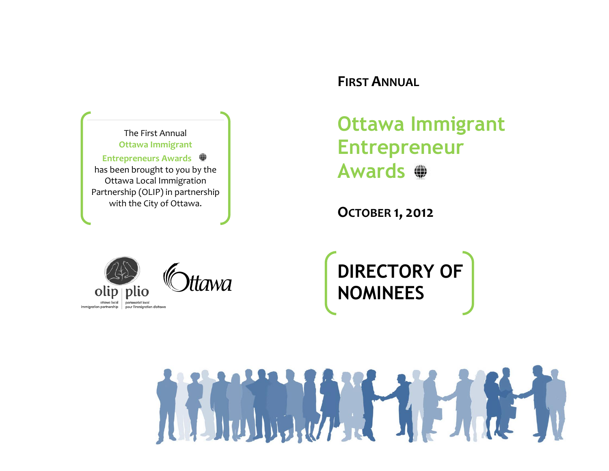The First Annual **Ottawa Immigrant Entrepreneurs Awards**  has been brought to you by the Ottawa Local Immigration Partnership (OLIP) in partnership with the City of Ottawa.

## **FIRST ANNUAL**

**Ottawa Immigrant Entrepreneur Awards**

**OCTOBER 1, 2012**



tawa

**DIRECTORY OF NOMINEES**